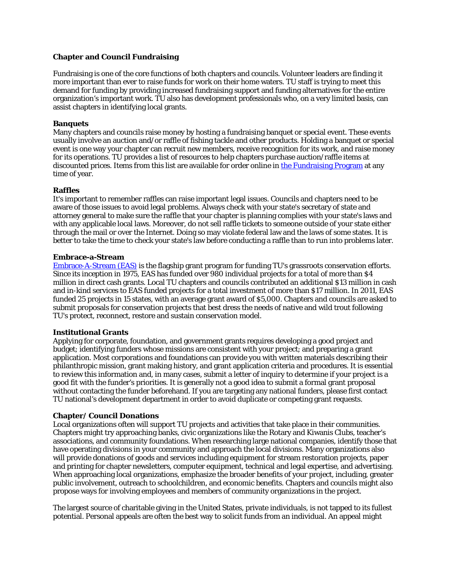# **Chapter and Council Fundraising**

Fundraising is one of the core functions of both chapters and councils. Volunteer leaders are finding it more important than ever to raise funds for work on their home waters. TU staff is trying to meet this demand for funding by providing increased fundraising support and funding alternatives for the entire organization's important work. TU also has development professionals who, on a very limited basis, can assist chapters in identifying local grants.

## **Banquets**

Many chapters and councils raise money by hosting a fundraising banquet or special event. These events usually involve an auction and/or raffle of fishing tackle and other products. Holding a banquet or special event is one way your chapter can recruit new members, receive recognition for its work, and raise money for its operations. TU provides a list of resources to help chapters purchase auction/raffle items at discounted prices. Items from this list are available for order online in [the Fundraising Program](http://www.tu.org/member-services/welcome-to-my-tu/fundraising-program) at any time of year.

### **Raffles**

It's important to remember raffles can raise important legal issues. Councils and chapters need to be aware of those issues to avoid legal problems. Always check with your state's secretary of state and attorney general to make sure the raffle that your chapter is planning complies with your state's laws and with any applicable local laws. Moreover, do not sell raffle tickets to someone outside of your state either through the mail or over the Internet. Doing so may violate federal law and the laws of some states. It is better to take the time to check your state's law before conducting a raffle than to run into problems later.

#### **Embrace-a-Stream**

[Embrace-A-Stream \(EAS\)](http://www.tu.org/conservation/watershed-restoration-home-rivers-initiative/embrace-a-stream) is the flagship grant program for funding TU's grassroots conservation efforts. Since its inception in 1975, EAS has funded over 980 individual projects for a total of more than \$4 million in direct cash grants. Local TU chapters and councils contributed an additional \$13 million in cash and in-kind services to EAS funded projects for a total investment of more than \$17 million. In 2011, EAS funded 25 projects in 15 states, with an average grant award of \$5,000. Chapters and councils are asked to submit proposals for conservation projects that best dress the needs of native and wild trout following TU's protect, reconnect, restore and sustain conservation model.

#### **Institutional Grants**

Applying for corporate, foundation, and government grants requires developing a good project and budget; identifying funders whose missions are consistent with your project; and preparing a grant application. Most corporations and foundations can provide you with written materials describing their philanthropic mission, grant making history, and grant application criteria and procedures. It is essential to review this information and, in many cases, submit a letter of inquiry to determine if your project is a good fit with the funder's priorities. It is generally not a good idea to submit a formal grant proposal without contacting the funder beforehand. If you are targeting any national funders, please first contact TU national's development department in order to avoid duplicate or competing grant requests.

## **Chapter/ Council Donations**

Local organizations often will support TU projects and activities that take place in their communities. Chapters might try approaching banks, civic organizations like the Rotary and Kiwanis Clubs, teacher's associations, and community foundations. When researching large national companies, identify those that have operating divisions in your community and approach the local divisions. Many organizations also will provide donations of goods and services including equipment for stream restoration projects, paper and printing for chapter newsletters, computer equipment, technical and legal expertise, and advertising. When approaching local organizations, emphasize the broader benefits of your project, including, greater public involvement, outreach to schoolchildren, and economic benefits. Chapters and councils might also propose ways for involving employees and members of community organizations in the project.

The largest source of charitable giving in the United States, private individuals, is not tapped to its fullest potential. Personal appeals are often the best way to solicit funds from an individual. An appeal might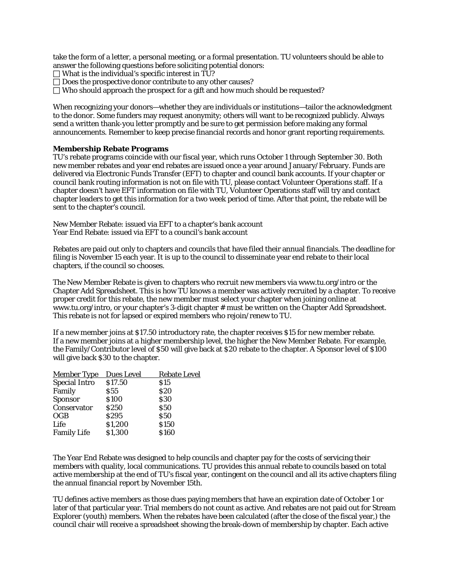take the form of a letter, a personal meeting, or a formal presentation. TU volunteers should be able to answer the following questions before soliciting potential donors:

 $\Box$  What is the individual's specific interest in TU?

 $\Box$  Does the prospective donor contribute to any other causes?

 $\Box$  Who should approach the prospect for a gift and how much should be requested?

When recognizing your donors—whether they are individuals or institutions—tailor the acknowledgment to the donor. Some funders may request anonymity; others will want to be recognized publicly. Always send a written thank-you letter promptly and be sure to get permission before making any formal announcements. Remember to keep precise financial records and honor grant reporting requirements.

### **Membership Rebate Programs**

TU's rebate programs coincide with our fiscal year, which runs October 1 through September 30. Both new member rebates and year end rebates are issued once a year around January/February. Funds are delivered via Electronic Funds Transfer (EFT) to chapter and council bank accounts. If your chapter or council bank routing information is not on file with TU, please contact Volunteer Operations staff. If a chapter doesn't have EFT information on file with TU, Volunteer Operations staff will try and contact chapter leaders to get this information for a two week period of time. After that point, the rebate will be sent to the chapter's council.

New Member Rebate: issued via EFT to a chapter's bank account Year End Rebate: issued via EFT to a council's bank account

Rebates are paid out only to chapters and councils that have filed their annual financials. The deadline for filing is November 15 each year. It is up to the council to disseminate year end rebate to their local chapters, if the council so chooses.

The New Member Rebate is given to chapters who recruit new members via www.tu.org/intro or the Chapter Add Spreadsheet. This is how TU knows a member was actively recruited by a chapter. To receive proper credit for this rebate, the new member must select your chapter when joining online at www.tu.org/intro, or your chapter's 3-digit chapter # must be written on the Chapter Add Spreadsheet. This rebate is not for lapsed or expired members who rejoin/renew to TU.

If a new member joins at \$17.50 introductory rate, the chapter receives \$15 for new member rebate. If a new member joins at a higher membership level, the higher the New Member Rebate. For example, the Family/Contributor level of \$50 will give back at \$20 rebate to the chapter. A Sponsor level of \$100 will give back \$30 to the chapter.

| <b>Member Type</b>   | <b>Dues Level</b> | <b>Rebate Level</b> |
|----------------------|-------------------|---------------------|
| <b>Special Intro</b> | \$17.50           | \$15                |
| Family               | <b>S55</b>        | <b>\$20</b>         |
| <b>Sponsor</b>       | \$100             | \$30                |
| Conservator          | <b>S250</b>       | <b>S50</b>          |
| <b>OGB</b>           | <b>S295</b>       | <b>S50</b>          |
| Life                 | \$1,200           | \$150               |
| <b>Family Life</b>   | \$1,300           | \$160               |
|                      |                   |                     |

The Year End Rebate was designed to help councils and chapter pay for the costs of servicing their members with quality, local communications. TU provides this annual rebate to councils based on total active membership at the end of TU's fiscal year, contingent on the council and all its active chapters filing the annual financial report by November 15th.

TU defines active members as those dues paying members that have an expiration date of October 1 or later of that particular year. Trial members do not count as active. And rebates are not paid out for Stream Explorer (youth) members. When the rebates have been calculated (after the close of the fiscal year,) the council chair will receive a spreadsheet showing the break-down of membership by chapter. Each active